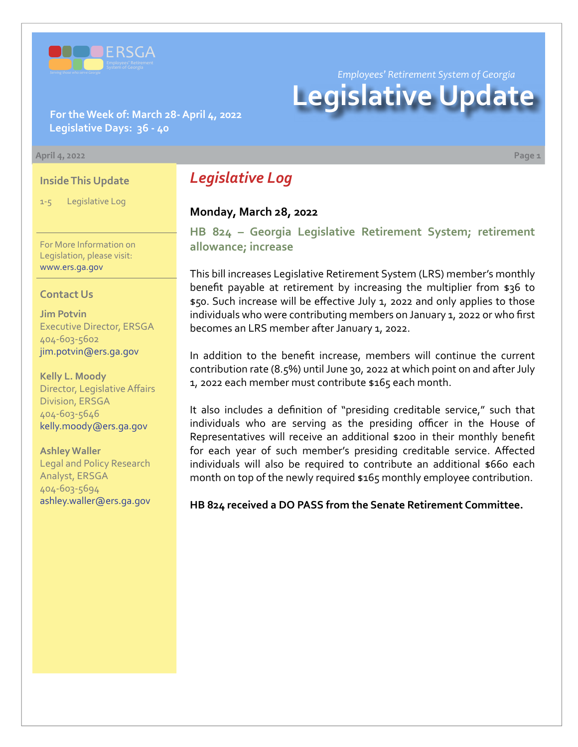

*Employees' Retirement System of Georgia*

# **Legislative Update**

**For the Week of: March 28- April 4, 2022 Legislative Days: 36 - 40**

#### **April 4, 2022 Page 1**

#### **Inside This Update**

1-5 Legislative Log

For More Information on Legislation, please visit: [www.ers.ga.gov](http://www.ers.ga.gov/default.aspx)

#### **Contact Us**

**Jim Potvin** Executive Director, ERSGA 404-603-5602 jim.potvin@ers.ga.gov

**Kelly L. Moody** Director, Legislative Affairs Division, ERSGA 404-603-5646 kelly.moody@ers.ga.gov

**Ashley Waller** Legal and Policy Research Analyst, ERSGA 404-603-5694 ashley.waller@ers.ga.gov

## *Legislative Log*

#### **Monday, March 28, 2022**

**[HB 824 – Georgia Legislative Retirement System; retirement](https://www.legis.ga.gov/legislation/60709)  allowance; increase**

This bill increases Legislative Retirement System (LRS) member's monthly benefit payable at retirement by increasing the multiplier from \$36 to \$50. Such increase will be effective July 1, 2022 and only applies to those individuals who were contributing members on January 1, 2022 or who first becomes an LRS member after January 1, 2022.

In addition to the benefit increase, members will continue the current contribution rate (8.5%) until June 30, 2022 at which point on and after July 1, 2022 each member must contribute \$165 each month.

It also includes a definition of "presiding creditable service," such that individuals who are serving as the presiding officer in the House of Representatives will receive an additional \$200 in their monthly benefit for each year of such member's presiding creditable service. Affected individuals will also be required to contribute an additional \$660 each month on top of the newly required \$165 monthly employee contribution.

**HB 824 received a DO PASS from the Senate Retirement Committee.**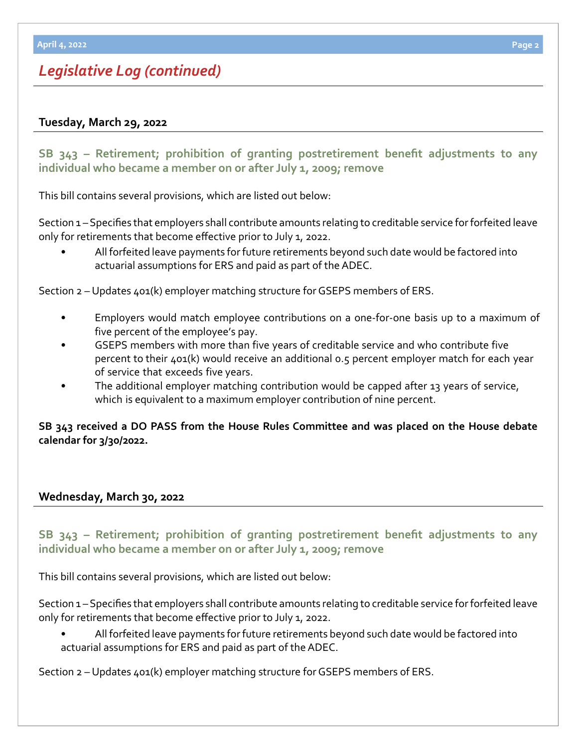# *Legislative Log (continued)*

#### **Tuesday, March 29, 2022**

**[SB 343 – Retirement; prohibition of granting postretirement benefit adjustments to any](https://www.legis.ga.gov/legislation/61176)  individual who became a member on or after July 1, 2009; remove**

This bill contains several provisions, which are listed out below:

Section 1 – Specifies that employers shall contribute amounts relating to creditable service for forfeited leave only for retirements that become effective prior to July 1, 2022.

• All forfeited leave payments for future retirements beyond such date would be factored into actuarial assumptions for ERS and paid as part of the ADEC.

Section 2 – Updates 401(k) employer matching structure for GSEPS members of ERS.

- Employers would match employee contributions on a one-for-one basis up to a maximum of five percent of the employee's pay.
- GSEPS members with more than five years of creditable service and who contribute five percent to their 401(k) would receive an additional 0.5 percent employer match for each year of service that exceeds five years.
- The additional employer matching contribution would be capped after 13 years of service, which is equivalent to a maximum employer contribution of nine percent.

**SB 343 received a DO PASS from the House Rules Committee and was placed on the House debate calendar for 3/30/2022.**

### **Wednesday, March 30, 2022**

## **[SB 343 – Retirement; prohibition of granting postretirement benefit adjustments to any](https://www.legis.ga.gov/legislation/61176)  individual who became a member on or after July 1, 2009; remove**

This bill contains several provisions, which are listed out below:

Section 1 – Specifies that employers shall contribute amounts relating to creditable service for forfeited leave only for retirements that become effective prior to July 1, 2022.

• All forfeited leave payments for future retirements beyond such date would be factored into actuarial assumptions for ERS and paid as part of the ADEC.

Section 2 – Updates 401(k) employer matching structure for GSEPS members of ERS.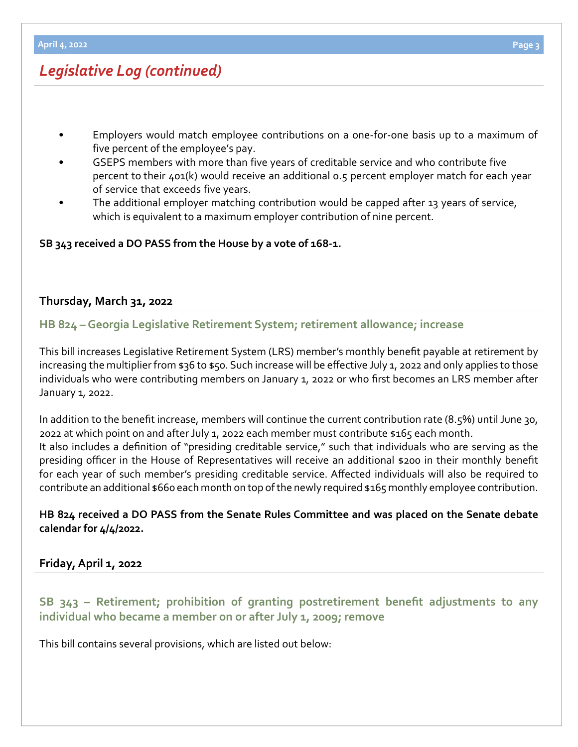# *Legislative Log (continued)*

- Employers would match employee contributions on a one-for-one basis up to a maximum of five percent of the employee's pay.
- GSEPS members with more than five years of creditable service and who contribute five percent to their 401(k) would receive an additional 0.5 percent employer match for each year of service that exceeds five years.
- The additional employer matching contribution would be capped after 13 years of service, which is equivalent to a maximum employer contribution of nine percent.

#### **SB 343 received a DO PASS from the House by a vote of 168-1.**

#### **Thursday, March 31, 2022**

#### **[HB 824](https://www.legis.ga.gov/legislation/60709) – [Georgia Legislative Retirement System; retirement allowance; increase](https://www.legis.ga.gov/legislation/60709)**

This bill increases Legislative Retirement System (LRS) member's monthly benefit payable at retirement by increasing the multiplier from \$36 to \$50. Such increase will be effective July 1, 2022 and only applies to those individuals who were contributing members on January 1, 2022 or who first becomes an LRS member after January 1, 2022.

In addition to the benefit increase, members will continue the current contribution rate (8.5%) until June 30, 2022 at which point on and after July 1, 2022 each member must contribute \$165 each month. It also includes a definition of "presiding creditable service," such that individuals who are serving as the presiding officer in the House of Representatives will receive an additional \$200 in their monthly benefit for each year of such member's presiding creditable service. Affected individuals will also be required to contribute an additional \$660 each month on top of the newly required \$165 monthly employee contribution.

#### **HB 824 received a DO PASS from the Senate Rules Committee and was placed on the Senate debate calendar for 4/4/2022.**

#### **Friday, April 1, 2022**

**[SB 343](https://www.legis.ga.gov/legislation/61176) – [Retirement; prohibition of granting postretirement benefit adjustments to any](https://www.legis.ga.gov/legislation/61176)  individual who became a member on or after July 1, 2009; remove**

This bill contains several provisions, which are listed out below: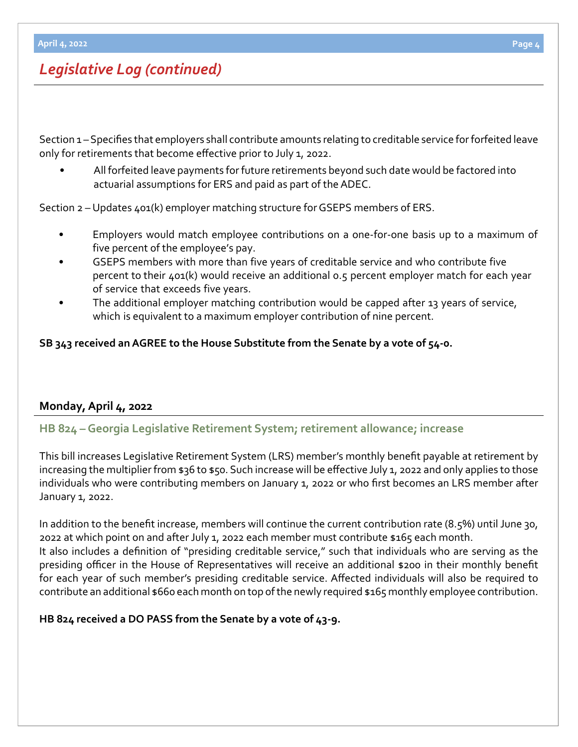#### **April 4, 2022 Page 4**

## *Legislative Log (continued)*

Section 1 – Specifies that employers shall contribute amounts relating to creditable service for forfeited leave only for retirements that become effective prior to July 1, 2022.

• All forfeited leave payments for future retirements beyond such date would be factored into actuarial assumptions for ERS and paid as part of the ADEC.

Section 2 – Updates 401(k) employer matching structure for GSEPS members of ERS.

- Employers would match employee contributions on a one-for-one basis up to a maximum of five percent of the employee's pay.
- GSEPS members with more than five years of creditable service and who contribute five percent to their 401(k) would receive an additional 0.5 percent employer match for each year of service that exceeds five years.
- The additional employer matching contribution would be capped after 13 years of service, which is equivalent to a maximum employer contribution of nine percent.

**SB 343 received an AGREE to the House Substitute from the Senate by a vote of 54-0.**

## **Monday, April 4, 2022**

### **[HB 824](https://www.legis.ga.gov/legislation/60709) – [Georgia Legislative Retirement System; retirement allowance; increase](https://www.legis.ga.gov/legislation/60709)**

This bill increases Legislative Retirement System (LRS) member's monthly benefit payable at retirement by increasing the multiplier from \$36 to \$50. Such increase will be effective July 1, 2022 and only applies to those individuals who were contributing members on January 1, 2022 or who first becomes an LRS member after January 1, 2022.

In addition to the benefit increase, members will continue the current contribution rate (8.5%) until June 30, 2022 at which point on and after July 1, 2022 each member must contribute \$165 each month. It also includes a definition of "presiding creditable service," such that individuals who are serving as the presiding officer in the House of Representatives will receive an additional \$200 in their monthly benefit for each year of such member's presiding creditable service. Affected individuals will also be required to contribute an additional \$660 each month on top of the newly required \$165 monthly employee contribution.

#### **HB 824 received a DO PASS from the Senate by a vote of 43-9.**